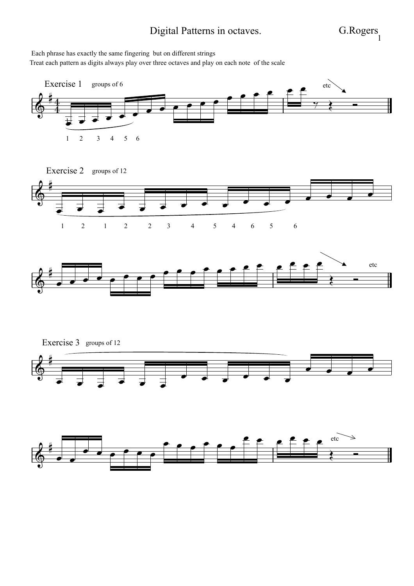## Digital Patterns in octaves. G.Rogers

Treat each pattern as digits always play over three octaves and play on each note of the scale Each phrase has exactly the same fingering but on different strings